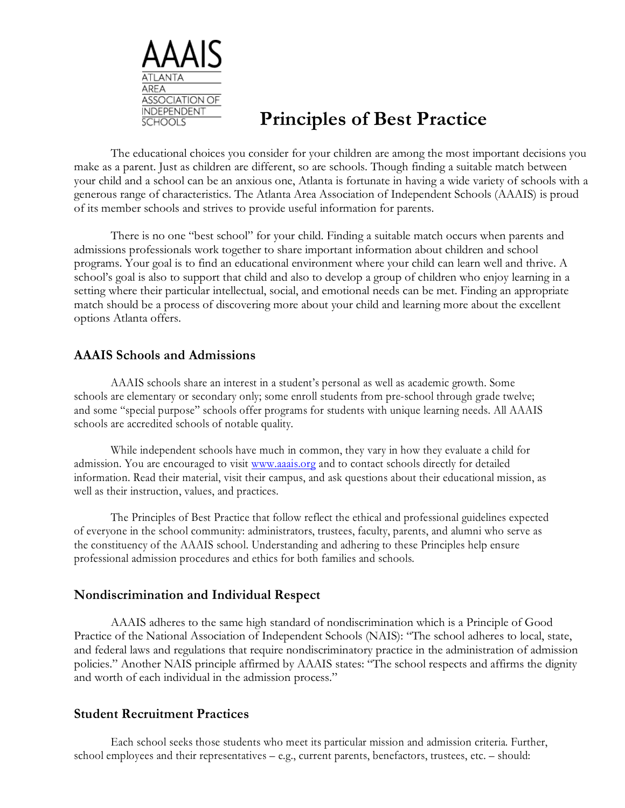

# **Principles of Best Practice**

The educational choices you consider for your children are among the most important decisions you make as a parent. Just as children are different, so are schools. Though finding a suitable match between your child and a school can be an anxious one, Atlanta is fortunate in having a wide variety of schools with a generous range of characteristics. The Atlanta Area Association of Independent Schools (AAAIS) is proud of its member schools and strives to provide useful information for parents.

There is no one "best school" for your child. Finding a suitable match occurs when parents and admissions professionals work together to share important information about children and school programs. Your goal is to find an educational environment where your child can learn well and thrive. A school's goal is also to support that child and also to develop a group of children who enjoy learning in a setting where their particular intellectual, social, and emotional needs can be met. Finding an appropriate match should be a process of discovering more about your child and learning more about the excellent options Atlanta offers.

#### **AAAIS Schools and Admissions**

AAAIS schools share an interest in a student's personal as well as academic growth. Some schools are elementary or secondary only; some enroll students from pre-school through grade twelve; and some "special purpose" schools offer programs for students with unique learning needs. All AAAIS schools are accredited schools of notable quality.

While independent schools have much in common, they vary in how they evaluate a child for admission. You are encouraged to visit www.aaais.org and to contact schools directly for detailed information. Read their material, visit their campus, and ask questions about their educational mission, as well as their instruction, values, and practices.

The Principles of Best Practice that follow reflect the ethical and professional guidelines expected of everyone in the school community: administrators, trustees, faculty, parents, and alumni who serve as the constituency of the AAAIS school. Understanding and adhering to these Principles help ensure professional admission procedures and ethics for both families and schools.

#### **Nondiscrimination and Individual Respect**

AAAIS adheres to the same high standard of nondiscrimination which is a Principle of Good Practice of the National Association of Independent Schools (NAIS): "The school adheres to local, state, and federal laws and regulations that require nondiscriminatory practice in the administration of admission policies." Another NAIS principle affirmed by AAAIS states: "The school respects and affirms the dignity and worth of each individual in the admission process."

#### **Student Recruitment Practices**

Each school seeks those students who meet its particular mission and admission criteria. Further, school employees and their representatives – e.g., current parents, benefactors, trustees, etc. – should: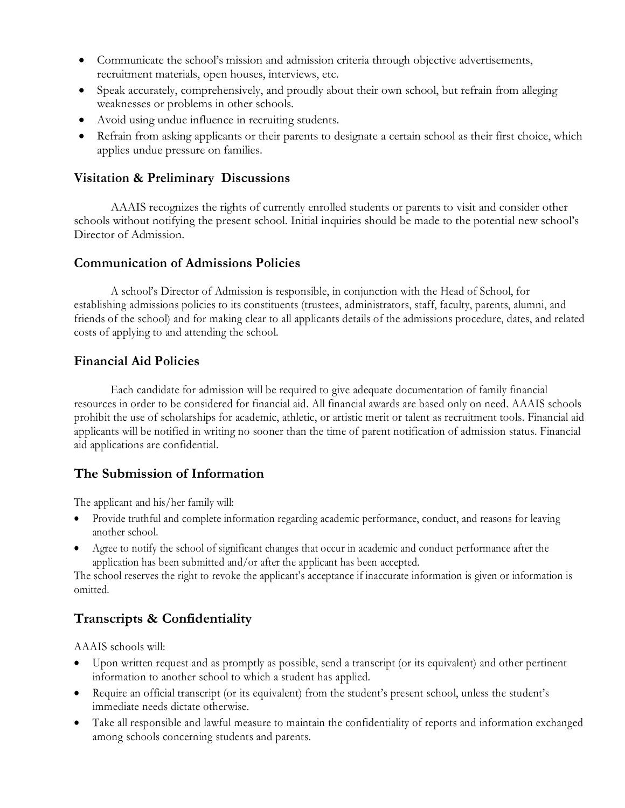- Communicate the school's mission and admission criteria through objective advertisements, recruitment materials, open houses, interviews, etc.
- Speak accurately, comprehensively, and proudly about their own school, but refrain from alleging weaknesses or problems in other schools.
- Avoid using undue influence in recruiting students.
- Refrain from asking applicants or their parents to designate a certain school as their first choice, which applies undue pressure on families.

## **Visitation & Preliminary Discussions**

AAAIS recognizes the rights of currently enrolled students or parents to visit and consider other schools without notifying the present school. Initial inquiries should be made to the potential new school's Director of Admission.

## **Communication of Admissions Policies**

A school's Director of Admission is responsible, in conjunction with the Head of School, for establishing admissions policies to its constituents (trustees, administrators, staff, faculty, parents, alumni, and friends of the school) and for making clear to all applicants details of the admissions procedure, dates, and related costs of applying to and attending the school.

## **Financial Aid Policies**

Each candidate for admission will be required to give adequate documentation of family financial resources in order to be considered for financial aid. All financial awards are based only on need. AAAIS schools prohibit the use of scholarships for academic, athletic, or artistic merit or talent as recruitment tools. Financial aid applicants will be notified in writing no sooner than the time of parent notification of admission status. Financial aid applications are confidential.

## **The Submission of Information**

The applicant and his/her family will:

- Provide truthful and complete information regarding academic performance, conduct, and reasons for leaving another school.
- Agree to notify the school of significant changes that occur in academic and conduct performance after the application has been submitted and/or after the applicant has been accepted.

The school reserves the right to revoke the applicant's acceptance if inaccurate information is given or information is omitted.

## **Transcripts & Confidentiality**

AAAIS schools will:

- Upon written request and as promptly as possible, send a transcript (or its equivalent) and other pertinent information to another school to which a student has applied.
- Require an official transcript (or its equivalent) from the student's present school, unless the student's immediate needs dictate otherwise.
- Take all responsible and lawful measure to maintain the confidentiality of reports and information exchanged among schools concerning students and parents.